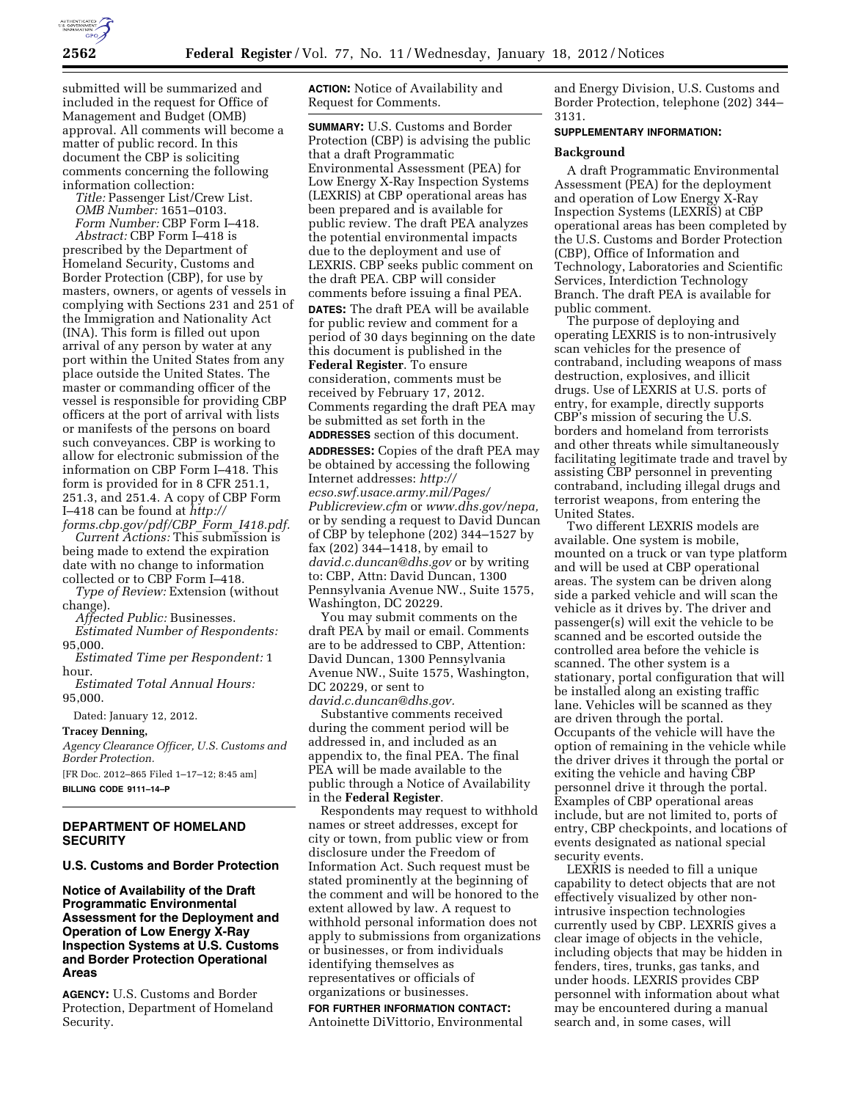

submitted will be summarized and included in the request for Office of Management and Budget (OMB) approval. All comments will become a matter of public record. In this document the CBP is soliciting comments concerning the following information collection:

*Title:* Passenger List/Crew List. *OMB Number:* 1651–0103. *Form Number:* CBP Form I–418.

*Abstract:* CBP Form I–418 is prescribed by the Department of Homeland Security, Customs and Border Protection (CBP), for use by masters, owners, or agents of vessels in complying with Sections 231 and 251 of the Immigration and Nationality Act (INA). This form is filled out upon arrival of any person by water at any port within the United States from any place outside the United States. The master or commanding officer of the vessel is responsible for providing CBP officers at the port of arrival with lists or manifests of the persons on board such conveyances. CBP is working to allow for electronic submission of the information on CBP Form I–418. This form is provided for in 8 CFR 251.1, 251.3, and 251.4. A copy of CBP Form I–418 can be found at *[http://](http://forms.cbp.gov/pdf/CBP_Form_I418.pdf)* 

*[forms.cbp.gov/pdf/CBP](http://forms.cbp.gov/pdf/CBP_Form_I418.pdf)*\_*Form*\_*I418.pdf. Current Actions:* This submission is being made to extend the expiration date with no change to information collected or to CBP Form I–418.

*Type of Review:* Extension (without change).

*Affected Public:* Businesses.

*Estimated Number of Respondents:*  95,000.

*Estimated Time per Respondent:* 1 hour.

*Estimated Total Annual Hours:*  95,000.

Dated: January 12, 2012.

**Tracey Denning,** 

*Agency Clearance Officer, U.S. Customs and Border Protection.*  [FR Doc. 2012–865 Filed 1–17–12; 8:45 am]

**BILLING CODE 9111–14–P** 

# **DEPARTMENT OF HOMELAND SECURITY**

# **U.S. Customs and Border Protection**

**Notice of Availability of the Draft Programmatic Environmental Assessment for the Deployment and Operation of Low Energy X-Ray Inspection Systems at U.S. Customs and Border Protection Operational Areas** 

**AGENCY:** U.S. Customs and Border Protection, Department of Homeland Security.

**ACTION:** Notice of Availability and Request for Comments.

**SUMMARY:** U.S. Customs and Border Protection (CBP) is advising the public that a draft Programmatic Environmental Assessment (PEA) for Low Energy X-Ray Inspection Systems (LEXRIS) at CBP operational areas has been prepared and is available for public review. The draft PEA analyzes the potential environmental impacts due to the deployment and use of LEXRIS. CBP seeks public comment on the draft PEA. CBP will consider comments before issuing a final PEA.

**DATES:** The draft PEA will be available for public review and comment for a period of 30 days beginning on the date this document is published in the **Federal Register**. To ensure consideration, comments must be received by February 17, 2012. Comments regarding the draft PEA may be submitted as set forth in the **ADDRESSES** section of this document.

**ADDRESSES:** Copies of the draft PEA may be obtained by accessing the following Internet addresses: *[http://](http://ecso.swf.usace.army.mil/Pages/Publicreview.cfm) [ecso.swf.usace.army.mil/Pages/](http://ecso.swf.usace.army.mil/Pages/Publicreview.cfm)  [Publicreview.cfm](http://ecso.swf.usace.army.mil/Pages/Publicreview.cfm)* or *[www.dhs.gov/nepa,](http://www.dhs.gov/nepa)*  or by sending a request to David Duncan of CBP by telephone (202) 344–1527 by fax (202) 344–1418, by email to *[david.c.duncan@dhs.gov](mailto:david.c.duncan@dhs.gov)* or by writing to: CBP, Attn: David Duncan, 1300 Pennsylvania Avenue NW., Suite 1575, Washington, DC 20229.

You may submit comments on the draft PEA by mail or email. Comments are to be addressed to CBP, Attention: David Duncan, 1300 Pennsylvania Avenue NW., Suite 1575, Washington, DC 20229, or sent to

*[david.c.duncan@dhs.gov.](mailto:david.c.duncan@dhs.gov)* 

Substantive comments received during the comment period will be addressed in, and included as an appendix to, the final PEA. The final PEA will be made available to the public through a Notice of Availability in the **Federal Register**.

Respondents may request to withhold names or street addresses, except for city or town, from public view or from disclosure under the Freedom of Information Act. Such request must be stated prominently at the beginning of the comment and will be honored to the extent allowed by law. A request to withhold personal information does not apply to submissions from organizations or businesses, or from individuals identifying themselves as representatives or officials of organizations or businesses.

## **FOR FURTHER INFORMATION CONTACT:**  Antoinette DiVittorio, Environmental

and Energy Division, U.S. Customs and Border Protection, telephone (202) 344– 3131.

## **SUPPLEMENTARY INFORMATION:**

## **Background**

A draft Programmatic Environmental Assessment (PEA) for the deployment and operation of Low Energy X-Ray Inspection Systems (LEXRIS) at CBP operational areas has been completed by the U.S. Customs and Border Protection (CBP), Office of Information and Technology, Laboratories and Scientific Services, Interdiction Technology Branch. The draft PEA is available for public comment.

The purpose of deploying and operating LEXRIS is to non-intrusively scan vehicles for the presence of contraband, including weapons of mass destruction, explosives, and illicit drugs. Use of LEXRIS at U.S. ports of entry, for example, directly supports CBP's mission of securing the U.S. borders and homeland from terrorists and other threats while simultaneously facilitating legitimate trade and travel by assisting CBP personnel in preventing contraband, including illegal drugs and terrorist weapons, from entering the United States.

Two different LEXRIS models are available. One system is mobile, mounted on a truck or van type platform and will be used at CBP operational areas. The system can be driven along side a parked vehicle and will scan the vehicle as it drives by. The driver and passenger(s) will exit the vehicle to be scanned and be escorted outside the controlled area before the vehicle is scanned. The other system is a stationary, portal configuration that will be installed along an existing traffic lane. Vehicles will be scanned as they are driven through the portal. Occupants of the vehicle will have the option of remaining in the vehicle while the driver drives it through the portal or exiting the vehicle and having CBP personnel drive it through the portal. Examples of CBP operational areas include, but are not limited to, ports of entry, CBP checkpoints, and locations of events designated as national special security events.

LEXRIS is needed to fill a unique capability to detect objects that are not effectively visualized by other nonintrusive inspection technologies currently used by CBP. LEXRIS gives a clear image of objects in the vehicle, including objects that may be hidden in fenders, tires, trunks, gas tanks, and under hoods. LEXRIS provides CBP personnel with information about what may be encountered during a manual search and, in some cases, will